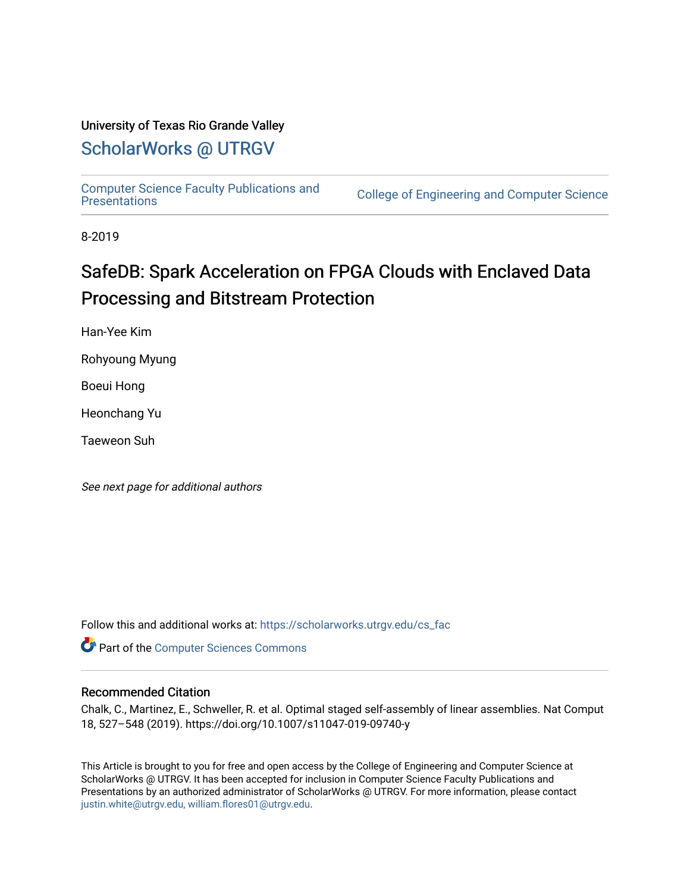### University of Texas Rio Grande Valley

## [ScholarWorks @ UTRGV](https://scholarworks.utrgv.edu/)

[Computer Science Faculty Publications and](https://scholarworks.utrgv.edu/cs_fac) 

College of Engineering and Computer Science

8-2019

# SafeDB: Spark Acceleration on FPGA Clouds with Enclaved Data Processing and Bitstream Protection

Han-Yee Kim

Rohyoung Myung

Boeui Hong

Heonchang Yu

Taeweon Suh

See next page for additional authors

Follow this and additional works at: [https://scholarworks.utrgv.edu/cs\\_fac](https://scholarworks.utrgv.edu/cs_fac?utm_source=scholarworks.utrgv.edu%2Fcs_fac%2F33&utm_medium=PDF&utm_campaign=PDFCoverPages) 

**Part of the [Computer Sciences Commons](http://network.bepress.com/hgg/discipline/142?utm_source=scholarworks.utrgv.edu%2Fcs_fac%2F33&utm_medium=PDF&utm_campaign=PDFCoverPages)** 

#### Recommended Citation

Chalk, C., Martinez, E., Schweller, R. et al. Optimal staged self-assembly of linear assemblies. Nat Comput 18, 527–548 (2019). https://doi.org/10.1007/s11047-019-09740-y

This Article is brought to you for free and open access by the College of Engineering and Computer Science at ScholarWorks @ UTRGV. It has been accepted for inclusion in Computer Science Faculty Publications and Presentations by an authorized administrator of ScholarWorks @ UTRGV. For more information, please contact [justin.white@utrgv.edu, william.flores01@utrgv.edu](mailto:justin.white@utrgv.edu,%20william.flores01@utrgv.edu).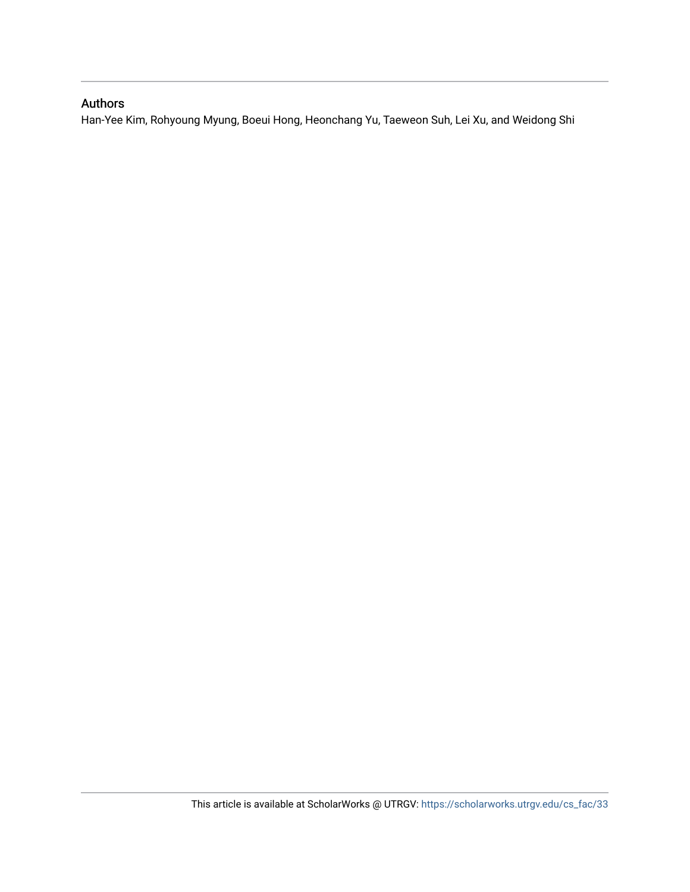## Authors

Han-Yee Kim, Rohyoung Myung, Boeui Hong, Heonchang Yu, Taeweon Suh, Lei Xu, and Weidong Shi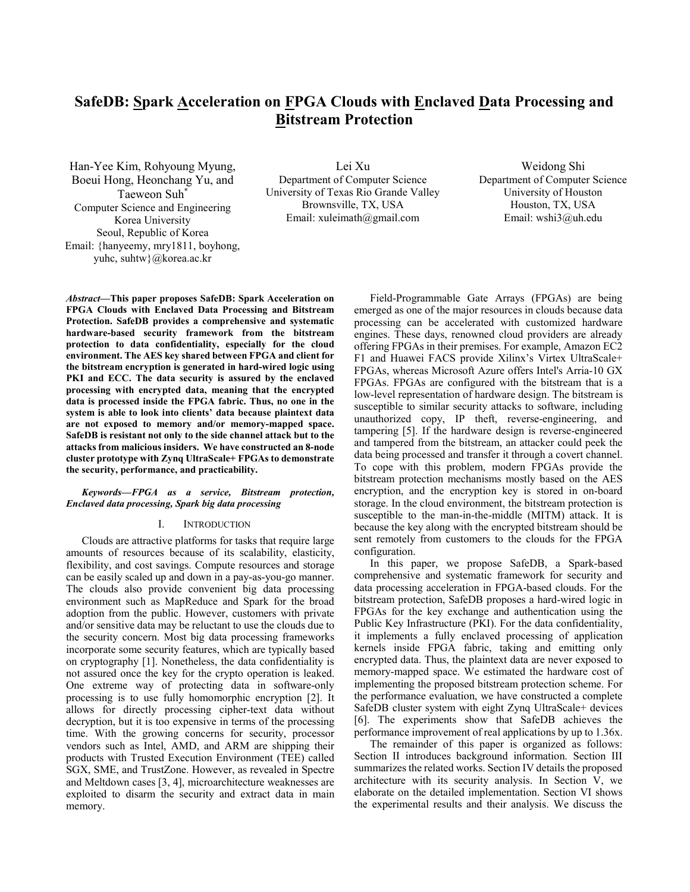## **SafeDB: Spark Acceleration on FPGA Clouds with Enclaved Data Processing and Bitstream Protection**

Han-Yee Kim, Rohyoung Myung, Boeui Hong, Heonchang Yu, and Taeweon Suh\* Computer Science and Engineering Korea University Seoul, Republic of Korea Email: {hanyeemy, mry1811, boyhong, yuhc, suhtw}@korea.ac.kr

Lei Xu Department of Computer Science University of Texas Rio Grande Valley Brownsville, TX, USA Email: xuleimath@gmail.com

Weidong Shi Department of Computer Science University of Houston Houston, TX, USA Email: wshi3@uh.edu

*Abstract***—This paper proposes SafeDB: Spark Acceleration on FPGA Clouds with Enclaved Data Processing and Bitstream Protection. SafeDB provides a comprehensive and systematic hardware-based security framework from the bitstream protection to data confidentiality, especially for the cloud environment. The AES key shared between FPGA and client for the bitstream encryption is generated in hard-wired logic using PKI and ECC. The data security is assured by the enclaved processing with encrypted data, meaning that the encrypted data is processed inside the FPGA fabric. Thus, no one in the system is able to look into clients' data because plaintext data are not exposed to memory and/or memory-mapped space. SafeDB is resistant not only to the side channel attack but to the attacks from malicious insiders. We have constructed an 8-node cluster prototype with Zynq UltraScale+ FPGAs to demonstrate the security, performance, and practicability.** 

#### *Keywords—FPGA as a service, Bitstream protection, Enclaved data processing, Spark big data processing*

#### I. INTRODUCTION

Clouds are attractive platforms for tasks that require large amounts of resources because of its scalability, elasticity, flexibility, and cost savings. Compute resources and storage can be easily scaled up and down in a pay-as-you-go manner. The clouds also provide convenient big data processing environment such as MapReduce and Spark for the broad adoption from the public. However, customers with private and/or sensitive data may be reluctant to use the clouds due to the security concern. Most big data processing frameworks incorporate some security features, which are typically based on cryptography [1]. Nonetheless, the data confidentiality is not assured once the key for the crypto operation is leaked. One extreme way of protecting data in software-only processing is to use fully homomorphic encryption [2]. It allows for directly processing cipher-text data without decryption, but it is too expensive in terms of the processing time. With the growing concerns for security, processor vendors such as Intel, AMD, and ARM are shipping their products with Trusted Execution Environment (TEE) called SGX, SME, and TrustZone. However, as revealed in Spectre and Meltdown cases [3, 4], microarchitecture weaknesses are exploited to disarm the security and extract data in main memory.

Field-Programmable Gate Arrays (FPGAs) are being emerged as one of the major resources in clouds because data processing can be accelerated with customized hardware engines. These days, renowned cloud providers are already offering FPGAs in their premises. For example, Amazon EC2 F1 and Huawei FACS provide Xilinx's Virtex UltraScale+ FPGAs, whereas Microsoft Azure offers Intel's Arria-10 GX FPGAs. FPGAs are configured with the bitstream that is a low-level representation of hardware design. The bitstream is susceptible to similar security attacks to software, including unauthorized copy, IP theft, reverse-engineering, and tampering [5]. If the hardware design is reverse-engineered and tampered from the bitstream, an attacker could peek the data being processed and transfer it through a covert channel. To cope with this problem, modern FPGAs provide the bitstream protection mechanisms mostly based on the AES encryption, and the encryption key is stored in on-board storage. In the cloud environment, the bitstream protection is susceptible to the man-in-the-middle (MITM) attack. It is because the key along with the encrypted bitstream should be sent remotely from customers to the clouds for the FPGA configuration.

In this paper, we propose SafeDB, a Spark-based comprehensive and systematic framework for security and data processing acceleration in FPGA-based clouds. For the bitstream protection, SafeDB proposes a hard-wired logic in FPGAs for the key exchange and authentication using the Public Key Infrastructure (PKI). For the data confidentiality, it implements a fully enclaved processing of application kernels inside FPGA fabric, taking and emitting only encrypted data. Thus, the plaintext data are never exposed to memory-mapped space. We estimated the hardware cost of implementing the proposed bitstream protection scheme. For the performance evaluation, we have constructed a complete SafeDB cluster system with eight Zynq UltraScale+ devices [6]. The experiments show that SafeDB achieves the performance improvement of real applications by up to 1.36x.

The remainder of this paper is organized as follows: Section II introduces background information. Section III summarizes the related works. Section IV details the proposed architecture with its security analysis. In Section  $\hat{V}$ , we elaborate on the detailed implementation. Section VI shows the experimental results and their analysis. We discuss the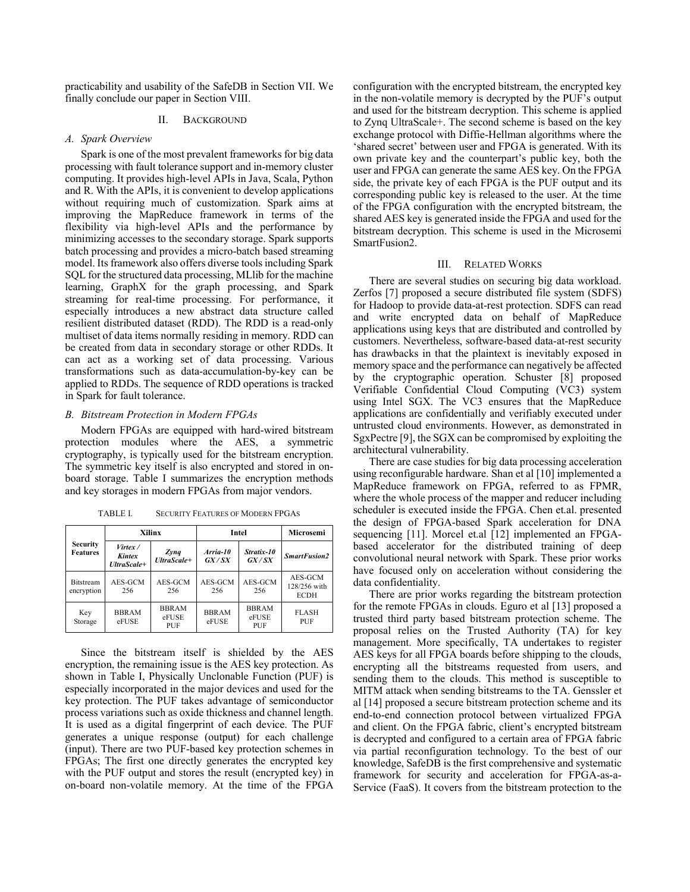practicability and usability of the SafeDB in Section VII. We finally conclude our paper in Section VIII.

#### II. BACKGROUND

#### *A. Spark Overview*

Spark is one of the most prevalent frameworks for big data processing with fault tolerance support and in-memory cluster computing. It provides high-level APIs in Java, Scala, Python and R. With the APIs, it is convenient to develop applications without requiring much of customization. Spark aims at improving the MapReduce framework in terms of the flexibility via high-level APIs and the performance by minimizing accesses to the secondary storage. Spark supports batch processing and provides a micro-batch based streaming model. Its framework also offers diverse tools including Spark SQL for the structured data processing, MLlib for the machine learning, GraphX for the graph processing, and Spark streaming for real-time processing. For performance, it especially introduces a new abstract data structure called resilient distributed dataset (RDD). The RDD is a read-only multiset of data items normally residing in memory. RDD can be created from data in secondary storage or other RDDs. It can act as a working set of data processing. Various transformations such as data-accumulation-by-key can be applied to RDDs. The sequence of RDD operations is tracked in Spark for fault tolerance.

#### *B. Bitstream Protection in Modern FPGAs*

Modern FPGAs are equipped with hard-wired bitstream protection modules where the AES, a symmetric cryptography, is typically used for the bitstream encryption. The symmetric key itself is also encrypted and stored in onboard storage. Table I summarizes the encryption methods and key storages in modern FPGAs from major vendors.

| <b>Security</b><br><b>Features</b> | Xilinx                           |                              | Intel                 | Microsemi                    |                                        |
|------------------------------------|----------------------------------|------------------------------|-----------------------|------------------------------|----------------------------------------|
|                                    | Virtex/<br>Kintex<br>UltraScale+ | Zynq<br>UltraScale+          | Arria-10<br>GX/SX     | Stratix 10<br>GX/SX          | <b>SmartFusion2</b>                    |
| <b>Bitstream</b><br>encryption     | AES-GCM<br>256                   | AES-GCM<br>256               | AES-GCM<br>256        | AES-GCM<br>256               | AES-GCM<br>128/256 with<br><b>ECDH</b> |
| Key<br>Storage                     | <b>BBRAM</b><br>eFUSE            | <b>BBRAM</b><br>eFUSE<br>PUF | <b>BBRAM</b><br>eFUSE | <b>BBRAM</b><br>eFUSE<br>PUF | <b>FLASH</b><br>PUF                    |

TABLE I. SECURITY FEATURES OF MODERN FPGAS

Since the bitstream itself is shielded by the AES encryption, the remaining issue is the AES key protection. As shown in Table I, Physically Unclonable Function (PUF) is especially incorporated in the major devices and used for the key protection. The PUF takes advantage of semiconductor process variations such as oxide thickness and channel length. It is used as a digital fingerprint of each device. The PUF generates a unique response (output) for each challenge (input). There are two PUF-based key protection schemes in FPGAs; The first one directly generates the encrypted key with the PUF output and stores the result (encrypted key) in on-board non-volatile memory. At the time of the FPGA configuration with the encrypted bitstream, the encrypted key in the non-volatile memory is decrypted by the PUF's output and used for the bitstream decryption. This scheme is applied to Zynq UltraScale+. The second scheme is based on the key exchange protocol with Diffie-Hellman algorithms where the 'shared secret' between user and FPGA is generated. With its own private key and the counterpart's public key, both the user and FPGA can generate the same AES key. On the FPGA side, the private key of each FPGA is the PUF output and its corresponding public key is released to the user. At the time of the FPGA configuration with the encrypted bitstream, the shared AES key is generated inside the FPGA and used for the bitstream decryption. This scheme is used in the Microsemi SmartFusion2.

#### III. RELATED WORKS

There are several studies on securing big data workload. Zerfos [7] proposed a secure distributed file system (SDFS) for Hadoop to provide data-at-rest protection. SDFS can read and write encrypted data on behalf of MapReduce applications using keys that are distributed and controlled by customers. Nevertheless, software-based data-at-rest security has drawbacks in that the plaintext is inevitably exposed in memory space and the performance can negatively be affected by the cryptographic operation. Schuster [8] proposed Verifiable Confidential Cloud Computing (VC3) system using Intel SGX. The VC3 ensures that the MapReduce applications are confidentially and verifiably executed under untrusted cloud environments. However, as demonstrated in SgxPectre [9], the SGX can be compromised by exploiting the architectural vulnerability.

There are case studies for big data processing acceleration using reconfigurable hardware. Shan et al [10] implemented a MapReduce framework on FPGA, referred to as FPMR, where the whole process of the mapper and reducer including scheduler is executed inside the FPGA. Chen et.al. presented the design of FPGA-based Spark acceleration for DNA sequencing [11]. Morcel et.al [12] implemented an FPGAbased accelerator for the distributed training of deep convolutional neural network with Spark. These prior works have focused only on acceleration without considering the data confidentiality.

There are prior works regarding the bitstream protection for the remote FPGAs in clouds. Eguro et al [13] proposed a trusted third party based bitstream protection scheme. The proposal relies on the Trusted Authority (TA) for key management. More specifically, TA undertakes to register AES keys for all FPGA boards before shipping to the clouds, encrypting all the bitstreams requested from users, and sending them to the clouds. This method is susceptible to MITM attack when sending bitstreams to the TA. Genssler et al [14] proposed a secure bitstream protection scheme and its end-to-end connection protocol between virtualized FPGA and client. On the FPGA fabric, client's encrypted bitstream is decrypted and configured to a certain area of FPGA fabric via partial reconfiguration technology. To the best of our knowledge, SafeDB is the first comprehensive and systematic framework for security and acceleration for FPGA-as-a-Service (FaaS). It covers from the bitstream protection to the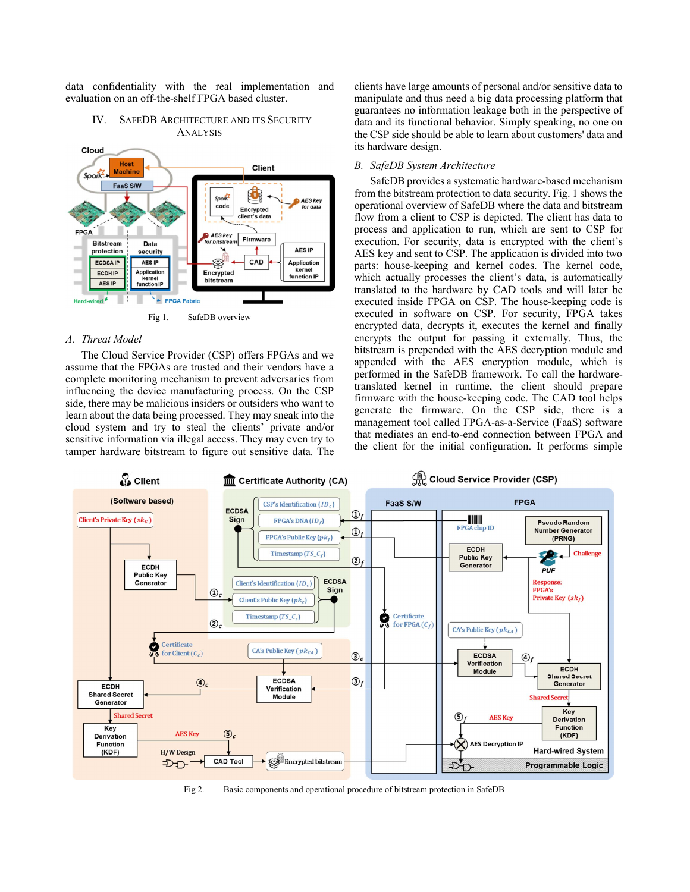data confidentiality with the real implementation and evaluation on an off-the-shelf FPGA based cluster.

#### IV. SAFEDB ARCHITECTURE AND ITS SECURITY ANALYSIS



#### *A. Threat Model*

The Cloud Service Provider (CSP) offers FPGAs and we assume that the FPGAs are trusted and their vendors have a complete monitoring mechanism to prevent adversaries from influencing the device manufacturing process. On the CSP side, there may be malicious insiders or outsiders who want to learn about the data being processed. They may sneak into the cloud system and try to steal the clients' private and/or sensitive information via illegal access. They may even try to tamper hardware bitstream to figure out sensitive data. The clients have large amounts of personal and/or sensitive data to manipulate and thus need a big data processing platform that guarantees no information leakage both in the perspective of data and its functional behavior. Simply speaking, no one on the CSP side should be able to learn about customers' data and its hardware design.

#### *B. SafeDB System Architecture*

SafeDB provides a systematic hardware-based mechanism from the bitstream protection to data security. Fig. 1 shows the operational overview of SafeDB where the data and bitstream flow from a client to CSP is depicted. The client has data to process and application to run, which are sent to CSP for execution. For security, data is encrypted with the client's AES key and sent to CSP. The application is divided into two parts: house-keeping and kernel codes. The kernel code, which actually processes the client's data, is automatically translated to the hardware by CAD tools and will later be executed inside FPGA on CSP. The house-keeping code is executed in software on CSP. For security, FPGA takes encrypted data, decrypts it, executes the kernel and finally encrypts the output for passing it externally. Thus, the bitstream is prepended with the AES decryption module and appended with the AES encryption module, which is performed in the SafeDB framework. To call the hardwaretranslated kernel in runtime, the client should prepare firmware with the house-keeping code. The CAD tool helps generate the firmware. On the CSP side, there is a management tool called FPGA-as-a-Service (FaaS) software that mediates an end-to-end connection between FPGA and the client for the initial configuration. It performs simple



Fig 2. Basic components and operational procedure of bitstream protection in SafeDB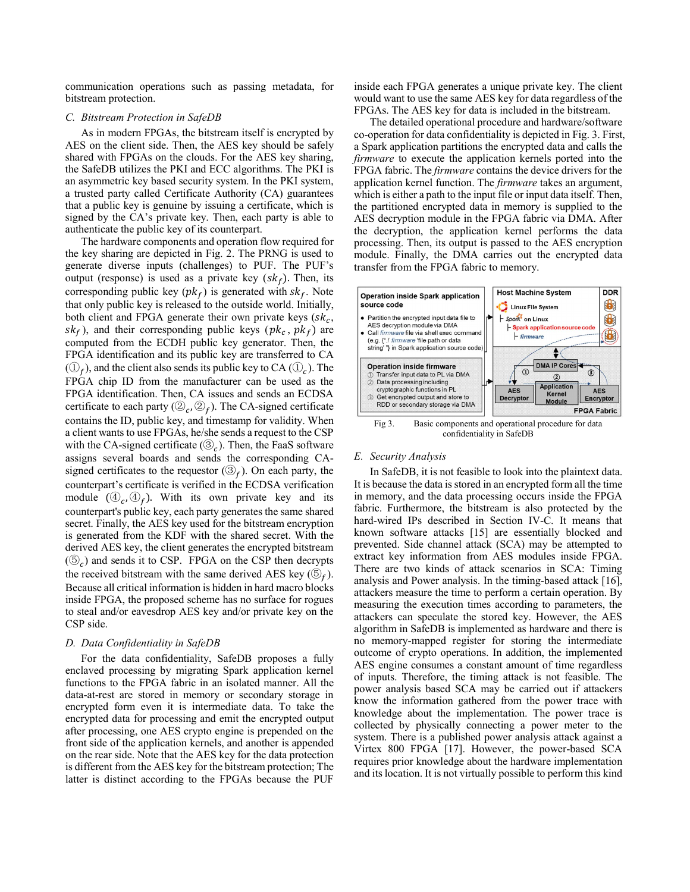communication operations such as passing metadata, for bitstream protection.

#### *C. Bitstream Protection in SafeDB*

As in modern FPGAs, the bitstream itself is encrypted by AES on the client side. Then, the AES key should be safely shared with FPGAs on the clouds. For the AES key sharing, the SafeDB utilizes the PKI and ECC algorithms. The PKI is an asymmetric key based security system. In the PKI system, a trusted party called Certificate Authority (CA) guarantees that a public key is genuine by issuing a certificate, which is signed by the CA's private key. Then, each party is able to authenticate the public key of its counterpart.

The hardware components and operation flow required for the key sharing are depicted in Fig. 2. The PRNG is used to generate diverse inputs (challenges) to PUF. The PUF's output (response) is used as a private key  $(s k_f)$ . Then, its corresponding public key  $(pk_f)$  is generated with  $sk_f$ . Note that only public key is released to the outside world. Initially, both client and FPGA generate their own private keys  $(s_k, \cdot)$  $sk_f$ ), and their corresponding public keys ( $pk_c$ ,  $pk_f$ ) are computed from the ECDH public key generator. Then, the FPGA identification and its public key are transferred to CA  $((1)_{\epsilon})$ , and the client also sends its public key to CA  $((1)_{\epsilon})$ . The FPGA chip ID from the manufacturer can be used as the FPGA identification. Then, CA issues and sends an ECDSA certificate to each party ( $(\mathcal{D}_{c}, \mathcal{D}_{f})$ . The CA-signed certificate contains the ID, public key, and timestamp for validity. When a client wants to use FPGAs, he/she sends a request to the CSP with the CA-signed certificate  $(\mathcal{D}_c)$ . Then, the FaaS software assigns several boards and sends the corresponding CAsigned certificates to the requestor  $(\mathcal{D}_f)$ . On each party, the counterpart's certificate is verified in the ECDSA verification module  $(\mathcal{D}_{\epsilon}, \mathcal{D}_{\epsilon})$ . With its own private key and its counterpart's public key, each party generates the same shared secret. Finally, the AES key used for the bitstream encryption is generated from the KDF with the shared secret. With the derived AES key, the client generates the encrypted bitstream  $(\mathbb{S}_c)$  and sends it to CSP. FPGA on the CSP then decrypts the received bitstream with the same derived AES key  $(\mathbb{S}_f)$ . Because all critical information is hidden in hard macro blocks inside FPGA, the proposed scheme has no surface for rogues to steal and/or eavesdrop AES key and/or private key on the CSP side.

#### *D. Data Confidentiality in SafeDB*

For the data confidentiality, SafeDB proposes a fully enclaved processing by migrating Spark application kernel functions to the FPGA fabric in an isolated manner. All the data-at-rest are stored in memory or secondary storage in encrypted form even it is intermediate data. To take the encrypted data for processing and emit the encrypted output after processing, one AES crypto engine is prepended on the front side of the application kernels, and another is appended on the rear side. Note that the AES key for the data protection is different from the AES key for the bitstream protection; The latter is distinct according to the FPGAs because the PUF

inside each FPGA generates a unique private key. The client would want to use the same AES key for data regardless of the FPGAs. The AES key for data is included in the bitstream.

The detailed operational procedure and hardware/software co-operation for data confidentiality is depicted in Fig. 3. First, a Spark application partitions the encrypted data and calls the *firmware* to execute the application kernels ported into the FPGA fabric. The *firmware* contains the device drivers for the application kernel function. The *firmware* takes an argument, which is either a path to the input file or input data itself. Then, the partitioned encrypted data in memory is supplied to the AES decryption module in the FPGA fabric via DMA. After the decryption, the application kernel performs the data processing. Then, its output is passed to the AES encryption module. Finally, the DMA carries out the encrypted data transfer from the FPGA fabric to memory.



#### *E. Security Analysis*

In SafeDB, it is not feasible to look into the plaintext data. It is because the data is stored in an encrypted form all the time in memory, and the data processing occurs inside the FPGA fabric. Furthermore, the bitstream is also protected by the hard-wired IPs described in Section IV-C. It means that known software attacks [15] are essentially blocked and prevented. Side channel attack (SCA) may be attempted to extract key information from AES modules inside FPGA. There are two kinds of attack scenarios in SCA: Timing analysis and Power analysis. In the timing-based attack [16], attackers measure the time to perform a certain operation. By measuring the execution times according to parameters, the attackers can speculate the stored key. However, the AES algorithm in SafeDB is implemented as hardware and there is no memory-mapped register for storing the intermediate outcome of crypto operations. In addition, the implemented AES engine consumes a constant amount of time regardless of inputs. Therefore, the timing attack is not feasible. The power analysis based SCA may be carried out if attackers know the information gathered from the power trace with knowledge about the implementation. The power trace is collected by physically connecting a power meter to the system. There is a published power analysis attack against a Virtex 800 FPGA [17]. However, the power-based SCA requires prior knowledge about the hardware implementation and its location. It is not virtually possible to perform this kind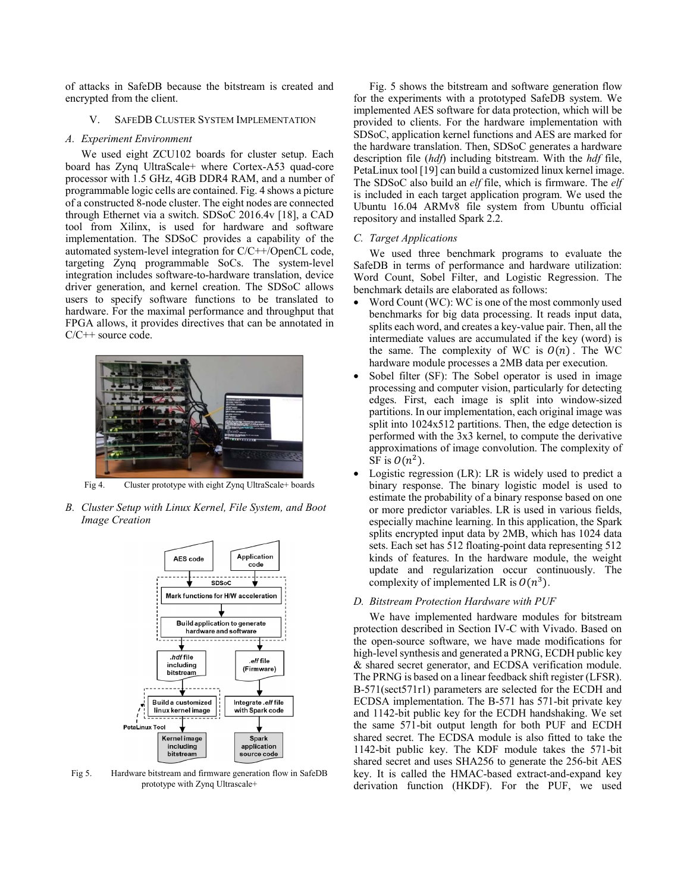of attacks in SafeDB because the bitstream is created and encrypted from the client.

#### V. SAFEDB CLUSTER SYSTEM IMPLEMENTATION

#### *A. Experiment Environment*

We used eight ZCU102 boards for cluster setup. Each board has Zynq UltraScale+ where Cortex-A53 quad-core processor with 1.5 GHz, 4GB DDR4 RAM, and a number of programmable logic cells are contained. Fig. 4 shows a picture of a constructed 8-node cluster. The eight nodes are connected through Ethernet via a switch. SDSoC 2016.4v [18], a CAD tool from Xilinx, is used for hardware and software implementation. The SDSoC provides a capability of the automated system-level integration for C/C++/OpenCL code, targeting Zynq programmable SoCs. The system-level integration includes software-to-hardware translation, device driver generation, and kernel creation. The SDSoC allows users to specify software functions to be translated to hardware. For the maximal performance and throughput that FPGA allows, it provides directives that can be annotated in C/C++ source code.



Fig 4. Cluster prototype with eight Zynq UltraScale+ boards

*B. Cluster Setup with Linux Kernel, File System, and Boot Image Creation*



Fig 5. Hardware bitstream and firmware generation flow in SafeDB prototype with Zynq Ultrascale+

Fig. 5 shows the bitstream and software generation flow for the experiments with a prototyped SafeDB system. We implemented AES software for data protection, which will be provided to clients. For the hardware implementation with SDSoC, application kernel functions and AES are marked for the hardware translation. Then, SDSoC generates a hardware description file (*hdf*) including bitstream. With the *hdf* file, PetaLinux tool [19] can build a customized linux kernel image. The SDSoC also build an *elf* file, which is firmware. The *elf* is included in each target application program. We used the Ubuntu 16.04 ARMv8 file system from Ubuntu official repository and installed Spark 2.2.

#### *C. Target Applications*

We used three benchmark programs to evaluate the SafeDB in terms of performance and hardware utilization: Word Count, Sobel Filter, and Logistic Regression. The benchmark details are elaborated as follows:

- Word Count (WC): WC is one of the most commonly used benchmarks for big data processing. It reads input data, splits each word, and creates a key-value pair. Then, all the intermediate values are accumulated if the key (word) is the same. The complexity of WC is  $O(n)$ . The WC hardware module processes a 2MB data per execution.
- Sobel filter (SF): The Sobel operator is used in image processing and computer vision, particularly for detecting edges. First, each image is split into window-sized partitions. In our implementation, each original image was split into  $1024x512$  partitions. Then, the edge detection is performed with the 3x3 kernel, to compute the derivative approximations of image convolution. The complexity of SF is  $O(n^2)$ .
- Logistic regression  $(LR)$ : LR is widely used to predict a binary response. The binary logistic model is used to estimate the probability of a binary response based on one or more predictor variables. LR is used in various fields, especially machine learning. In this application, the Spark splits encrypted input data by 2MB, which has 1024 data sets. Each set has 512 floating-point data representing 512 kinds of features. In the hardware module, the weight update and regularization occur continuously. The complexity of implemented LR is  $O(n^3)$ .

#### *D. Bitstream Protection Hardware with PUF*

We have implemented hardware modules for bitstream protection described in Section IV-C with Vivado. Based on the open-source software, we have made modifications for high-level synthesis and generated a PRNG, ECDH public key & shared secret generator, and ECDSA verification module. The PRNG is based on a linear feedback shift register (LFSR). B-571(sect571r1) parameters are selected for the ECDH and ECDSA implementation. The B-571 has 571-bit private key and 1142-bit public key for the ECDH handshaking. We set the same 571-bit output length for both PUF and ECDH shared secret. The ECDSA module is also fitted to take the 1142-bit public key. The KDF module takes the 571-bit shared secret and uses SHA256 to generate the 256-bit AES key. It is called the HMAC-based extract-and-expand key derivation function (HKDF). For the PUF, we used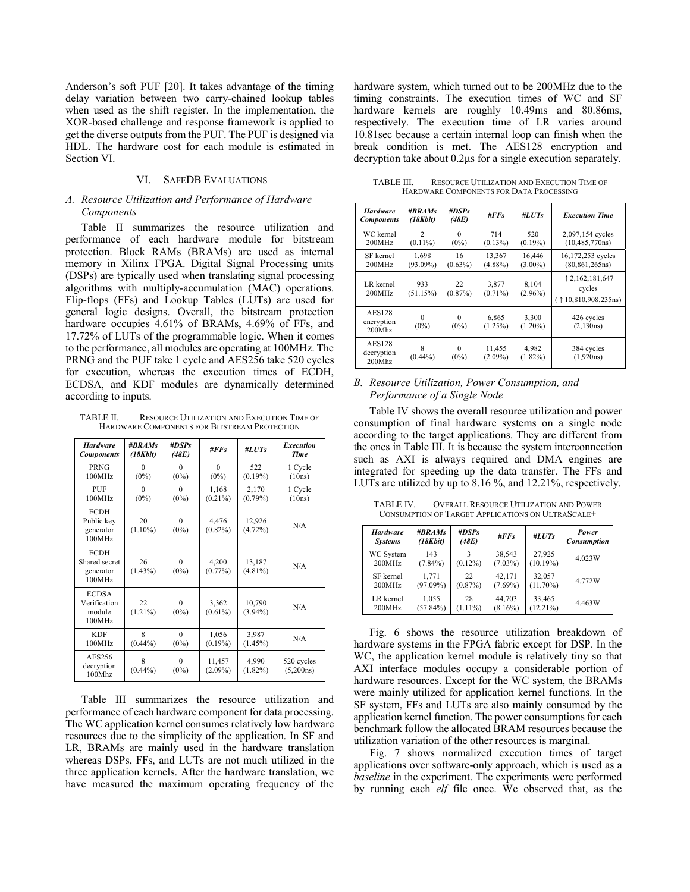Anderson's soft PUF [20]. It takes advantage of the timing delay variation between two carry-chained lookup tables when used as the shift register. In the implementation, the XOR-based challenge and response framework is applied to get the diverse outputs from the PUF. The PUF is designed via HDL. The hardware cost for each module is estimated in Section VI.

#### VI. SAFEDB EVALUATIONS

#### *A. Resource Utilization and Performance of Hardware Components*

Table II summarizes the resource utilization and performance of each hardware module for bitstream protection. Block RAMs (BRAMs) are used as internal memory in Xilinx FPGA. Digital Signal Processing units (DSPs) are typically used when translating signal processing algorithms with multiply-accumulation (MAC) operations. Flip-flops (FFs) and Lookup Tables (LUTs) are used for general logic designs. Overall, the bitstream protection hardware occupies 4.61% of BRAMs, 4.69% of FFs, and 17.72% of LUTs of the programmable logic. When it comes to the performance, all modules are operating at 100MHz. The PRNG and the PUF take 1 cycle and AES256 take 520 cycles for execution, whereas the execution times of ECDH, ECDSA, and KDF modules are dynamically determined according to inputs.

TABLE II. RESOURCE UTILIZATION AND EXECUTION TIME OF HARDWARE COMPONENTS FOR BITSTREAM PROTECTION

| <b>Hardware</b><br><b>Components</b>                | #RRAMs<br>(18Kbit)  | #DSPs<br>(48E)      | # $FFs$              | #LUTs                | <b>Execution</b><br><b>Time</b> |
|-----------------------------------------------------|---------------------|---------------------|----------------------|----------------------|---------------------------------|
| PRNG<br>100MHz                                      | $\Omega$<br>$(0\%)$ | $\Omega$<br>$(0\%)$ | $\Omega$<br>$(0\%)$  | 522<br>$(0.19\%)$    | 1 Cycle<br>(10ns)               |
| PUF<br>100MHz                                       | $\Omega$<br>$(0\%)$ | $\Omega$<br>$(0\%)$ | 1,168<br>$(0.21\%)$  | 2,170<br>$(0.79\%)$  | 1 Cycle<br>(10ns)               |
| <b>ECDH</b><br>Public key<br>generator<br>100MHz    | 20<br>$(1.10\%)$    | 0<br>$(0\%)$        | 4,476<br>$(0.82\%)$  | 12,926<br>$(4.72\%)$ | N/A                             |
| <b>ECDH</b><br>Shared secret<br>generator<br>100MHz | 26<br>$(1.43\%)$    | 0<br>$(0\%)$        | 4,200<br>$(0.77\%)$  | 13,187<br>$(4.81\%)$ | N/A                             |
| <b>ECDSA</b><br>Verification<br>module<br>100MHz    | 22<br>$(1.21\%)$    | 0<br>$(0\%)$        | 3,362<br>$(0.61\%)$  | 10,790<br>$(3.94\%)$ | N/A                             |
| <b>KDF</b><br>100MHz                                | 8<br>$(0.44\%)$     | $\Omega$<br>$(0\%)$ | 1,056<br>$(0.19\%)$  | 3,987<br>$(1.45\%)$  | N/A                             |
| AES256<br>decryption<br>$100M$ hz                   | 8<br>$(0.44\%)$     | $\theta$<br>$(0\%)$ | 11,457<br>$(2.09\%)$ | 4,990<br>$(1.82\%)$  | 520 cycles<br>(5,200ns)         |

Table III summarizes the resource utilization and performance of each hardware component for data processing. The WC application kernel consumes relatively low hardware resources due to the simplicity of the application. In SF and LR, BRAMs are mainly used in the hardware translation whereas DSPs, FFs, and LUTs are not much utilized in the three application kernels. After the hardware translation, we have measured the maximum operating frequency of the hardware system, which turned out to be 200MHz due to the timing constraints. The execution times of WC and SF hardware kernels are roughly 10.49ms and 80.86ms, respectively. The execution time of LR varies around 10.81sec because a certain internal loop can finish when the break condition is met. The AES128 encryption and decryption take about 0.2µs for a single execution separately.

TABLE III. RESOURCE UTILIZATION AND EXECUTION TIME OF HARDWARE COMPONENTS FOR DATA PROCESSING

| <b>Hardware</b><br><b>Components</b>     | #BRAMs<br>(18Kbit)           | #DSPs<br>(48E)      | #FFs                 | #LUTs                | <b>Execution Time</b>                              |
|------------------------------------------|------------------------------|---------------------|----------------------|----------------------|----------------------------------------------------|
| WC kernel<br>200MHz                      | $\mathfrak{D}$<br>$(0.11\%)$ | $\Omega$<br>$(0\%)$ | 714<br>$(0.13\%)$    | 520<br>$(0.19\%)$    | 2,097,154 cycles<br>(10, 485, 770ns)               |
| SF kernel<br>200MHz                      | 1,698<br>$(93.09\%)$         | 16<br>$(0.63\%)$    | 13,367<br>$(4.88\%)$ | 16,446<br>$(3.00\%)$ | 16,172,253 cycles<br>(80, 861, 265ns)              |
| LR kernel<br>200MHz                      | 933<br>(51.15%)              | 22<br>$(0.87\%)$    | 3,877<br>$(0.71\%)$  | 8.104<br>$(2.96\%)$  | 1 2, 162, 181, 647<br>cycles<br>(10,810,908,235ns) |
| <b>AES128</b><br>encryption<br>$200M$ hz | $\Omega$<br>$(0\%)$          | $\Omega$<br>$(0\%)$ | 6,865<br>(1.25%)     | 3,300<br>$(1.20\%)$  | 426 cycles<br>(2, 130ns)                           |
| <b>AES128</b><br>decryption<br>200Mhz    | 8<br>$(0.44\%)$              | $\Omega$<br>$(0\%)$ | 11,455<br>$(2.09\%)$ | 4,982<br>$(1.82\%)$  | 384 cycles<br>(1,920ns)                            |

#### *B. Resource Utilization, Power Consumption, and Performance of a Single Node*

Table IV shows the overall resource utilization and power consumption of final hardware systems on a single node according to the target applications. They are different from the ones in Table III. It is because the system interconnection such as AXI is always required and DMA engines are integrated for speeding up the data transfer. The FFs and LUTs are utilized by up to 8.16 %, and 12.21%, respectively.

TABLE IV. OVERALL RESOURCE UTILIZATION AND POWER CONSUMPTION OF TARGET APPLICATIONS ON ULTRASCALE+

| <b>Hardware</b><br><b>Systems</b> | $\#BRAMS$<br>(18Kbit) | # $DSPs$<br>(48E) | #FFS       | # $LUTs$    | Power<br>Consumption |
|-----------------------------------|-----------------------|-------------------|------------|-------------|----------------------|
| WC System                         | 143                   | 3                 | 38,543     | 27,925      | 4.023W               |
| 200MHz                            | $(7.84\%)$            | $(0.12\%)$        | $(7.03\%)$ | (10.19%)    |                      |
| SF kernel                         | 1.771                 | 22                | 42,171     | 32,057      | 4.772W               |
| 200MHz                            | $(97.09\%)$           | $(0.87\%)$        | $(7.69\%)$ | $(11.70\%)$ |                      |
| LR kernel                         | 1,055                 | 28                | 44.703     | 33,465      | 4.463W               |
| 200MHz                            | (57.84%)              | $(1.11\%)$        | $(8.16\%)$ | $(12.21\%)$ |                      |

Fig. 6 shows the resource utilization breakdown of hardware systems in the FPGA fabric except for DSP. In the WC, the application kernel module is relatively tiny so that AXI interface modules occupy a considerable portion of hardware resources. Except for the WC system, the BRAMs were mainly utilized for application kernel functions. In the SF system, FFs and LUTs are also mainly consumed by the application kernel function. The power consumptions for each benchmark follow the allocated BRAM resources because the utilization variation of the other resources is marginal.

Fig. 7 shows normalized execution times of target applications over software-only approach, which is used as a *baseline* in the experiment. The experiments were performed by running each *elf* file once. We observed that, as the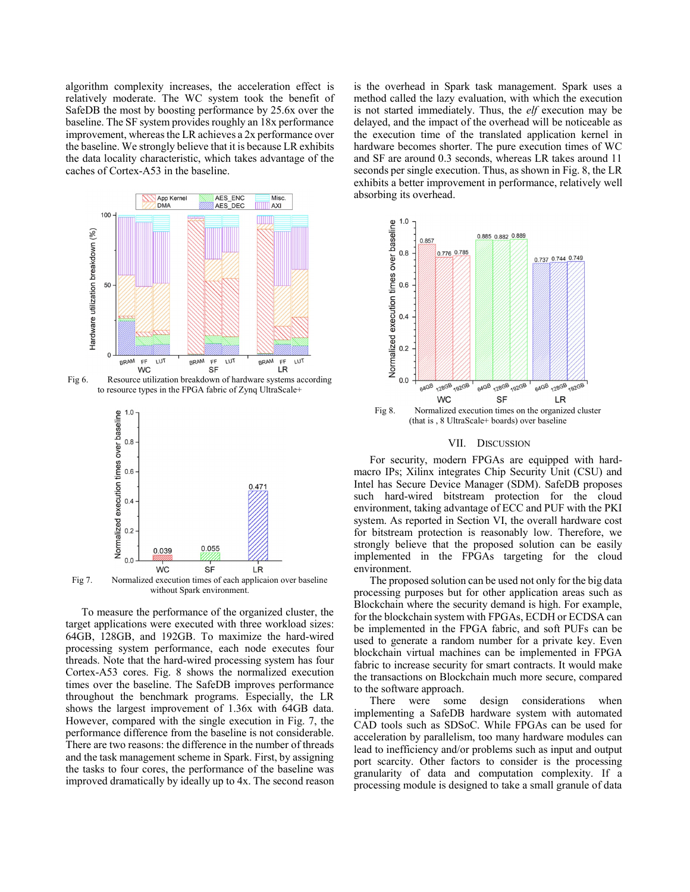algorithm complexity increases, the acceleration effect is relatively moderate. The WC system took the benefit of SafeDB the most by boosting performance by 25.6x over the baseline. The SF system provides roughly an 18x performance improvement, whereas the LR achieves a 2x performance over the baseline. We strongly believe that it is because LR exhibits the data locality characteristic, which takes advantage of the caches of Cortex-A53 in the baseline.



Fig 6. Resource utilization breakdown of hardware systems according to resource types in the FPGA fabric of Zynq UltraScale+



Fig 7. Normalized execution times of each applicaion over baseline without Spark environment.

To measure the performance of the organized cluster, the target applications were executed with three workload sizes: 64GB, 128GB, and 192GB. To maximize the hard-wired processing system performance, each node executes four threads. Note that the hard-wired processing system has four Cortex-A53 cores. Fig. 8 shows the normalized execution times over the baseline. The SafeDB improves performance throughout the benchmark programs. Especially, the LR shows the largest improvement of 1.36x with 64GB data. However, compared with the single execution in Fig. 7, the performance difference from the baseline is not considerable. There are two reasons: the difference in the number of threads and the task management scheme in Spark. First, by assigning the tasks to four cores, the performance of the baseline was improved dramatically by ideally up to 4x. The second reason is the overhead in Spark task management. Spark uses a method called the lazy evaluation, with which the execution is not started immediately. Thus, the *elf* execution may be delayed, and the impact of the overhead will be noticeable as the execution time of the translated application kernel in hardware becomes shorter. The pure execution times of WC and SF are around 0.3 seconds, whereas LR takes around 11 seconds per single execution. Thus, as shown in Fig. 8, the LR exhibits a better improvement in performance, relatively well absorbing its overhead.



(that is , 8 UltraScale+ boards) over baseline

#### VII. DISCUSSION

For security, modern FPGAs are equipped with hardmacro IPs; Xilinx integrates Chip Security Unit (CSU) and Intel has Secure Device Manager (SDM). SafeDB proposes such hard-wired bitstream protection for the cloud environment, taking advantage of ECC and PUF with the PKI system. As reported in Section VI, the overall hardware cost for bitstream protection is reasonably low. Therefore, we strongly believe that the proposed solution can be easily implemented in the FPGAs targeting for the cloud environment.

The proposed solution can be used not only for the big data processing purposes but for other application areas such as Blockchain where the security demand is high. For example, for the blockchain system with FPGAs, ECDH or ECDSA can be implemented in the FPGA fabric, and soft PUFs can be used to generate a random number for a private key. Even blockchain virtual machines can be implemented in FPGA fabric to increase security for smart contracts. It would make the transactions on Blockchain much more secure, compared to the software approach.

There were some design considerations when implementing a SafeDB hardware system with automated CAD tools such as SDSoC. While FPGAs can be used for acceleration by parallelism, too many hardware modules can lead to inefficiency and/or problems such as input and output port scarcity. Other factors to consider is the processing granularity of data and computation complexity. If a processing module is designed to take a small granule of data